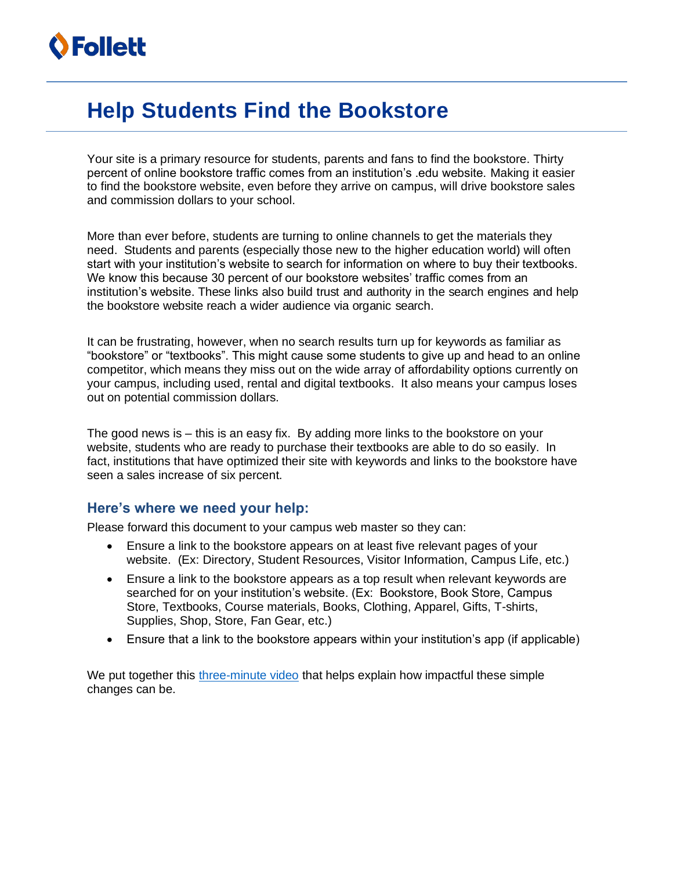## **Help Students Find the Bookstore**

Your site is a primary resource for students, parents and fans to find the bookstore. Thirty percent of online bookstore traffic comes from an institution's .edu website. Making it easier to find the bookstore website, even before they arrive on campus, will drive bookstore sales and commission dollars to your school.

More than ever before, students are turning to online channels to get the materials they need. Students and parents (especially those new to the higher education world) will often start with your institution's website to search for information on where to buy their textbooks. We know this because 30 percent of our bookstore websites' traffic comes from an institution's website. These links also build trust and authority in the search engines and help the bookstore website reach a wider audience via organic search.

It can be frustrating, however, when no search results turn up for keywords as familiar as "bookstore" or "textbooks". This might cause some students to give up and head to an online competitor, which means they miss out on the wide array of affordability options currently on your campus, including used, rental and digital textbooks. It also means your campus loses out on potential commission dollars.

The good news is – this is an easy fix. By adding more links to the bookstore on your website, students who are ready to purchase their textbooks are able to do so easily. In fact, institutions that have optimized their site with keywords and links to the bookstore have seen a sales increase of six percent.

#### **Here's where we need your help:**

Please forward this document to your campus web master so they can:

- Ensure a link to the bookstore appears on at least five relevant pages of your website. (Ex: Directory, Student Resources, Visitor Information, Campus Life, etc.)
- Ensure a link to the bookstore appears as a top result when relevant keywords are searched for on your institution's website. (Ex: Bookstore, Book Store, Campus Store, Textbooks, Course materials, Books, Clothing, Apparel, Gifts, T-shirts, Supplies, Shop, Store, Fan Gear, etc.)
- Ensure that a link to the bookstore appears within your institution's app (if applicable)

We put together this [three-minute video](https://players.brightcove.net/1464976798001/default_default/index.html?videoId=6230454968001) that helps explain how impactful these simple changes can be.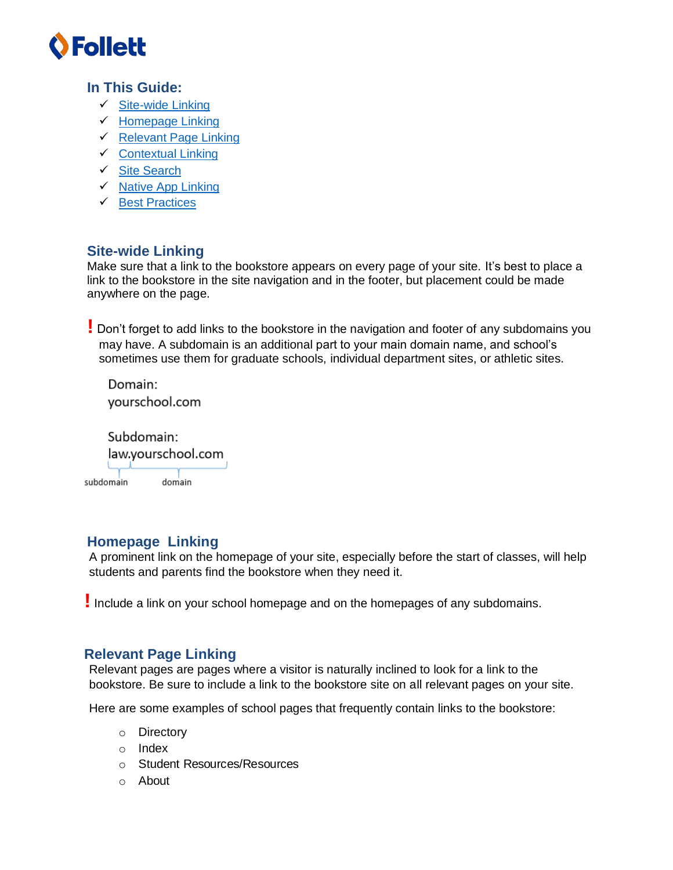

### **In This Guide:**

- ✓ [Site-wide Linking](#page-1-0)
- ✓ [Homepage Linking](#page-1-1)
- ✓ [Relevant Page Linking](#page-1-2)
- ✓ [Contextual Linking](#page-2-0)
- ✓ [Site Search](#page-3-0)
- ✓ [Native App Linking](#page-3-1)
- ✓ [Best Practices](#page-3-2)

### <span id="page-1-0"></span>**Site-wide Linking**

Make sure that a link to the bookstore appears on every page of your site. It's best to place a link to the bookstore in the site navigation and in the footer, but placement could be made anywhere on the page.

**!** Don't forget to add links to the bookstore in the navigation and footer of any subdomains you may have. A subdomain is an additional part to your main domain name, and school's sometimes use them for graduate schools, individual department sites, or athletic sites.

Domain: yourschool.com

Subdomain: law.yourschool.com subdomain domain

### <span id="page-1-1"></span>**Homepage Linking**

A prominent link on the homepage of your site, especially before the start of classes, will help students and parents find the bookstore when they need it.

**!** Include a link on your school homepage and on the homepages of any subdomains.

### <span id="page-1-2"></span>**Relevant Page Linking**

Relevant pages are pages where a visitor is naturally inclined to look for a link to the bookstore. Be sure to include a link to the bookstore site on all relevant pages on your site.

Here are some examples of school pages that frequently contain links to the bookstore:

- o Directory
- o Index
- o Student Resources/Resources
- o About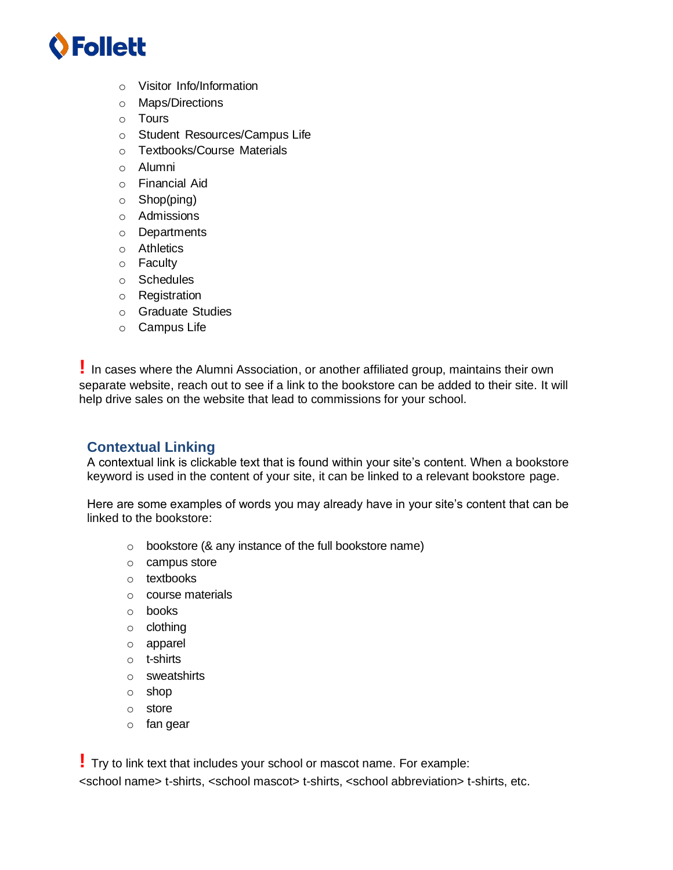# **O** Follett

- o Visitor Info/Information
- o Maps/Directions
- o Tours
- o Student Resources/Campus Life
- o Textbooks/Course Materials
- o Alumni
- o Financial Aid
- o Shop(ping)
- o Admissions
- o Departments
- o Athletics
- o Faculty
- o Schedules
- o Registration
- o Graduate Studies
- o Campus Life

**!** In cases where the Alumni Association, or another affiliated group, maintains their own separate website, reach out to see if a link to the bookstore can be added to their site. It will help drive sales on the website that lead to commissions for your school.

### <span id="page-2-0"></span>**Contextual Linking**

A contextual link is clickable text that is found within your site's content. When a bookstore keyword is used in the content of your site, it can be linked to a relevant bookstore page.

Here are some examples of words you may already have in your site's content that can be linked to the bookstore:

- o bookstore (& any instance of the full bookstore name)
- o campus store
- o textbooks
- o course materials
- o books
- o clothing
- o apparel
- o t-shirts
- o sweatshirts
- o shop
- o store
- o fan gear

**!** Try to link text that includes your school or mascot name. For example: <school name> t-shirts, <school mascot> t-shirts, <school abbreviation> t-shirts, etc.